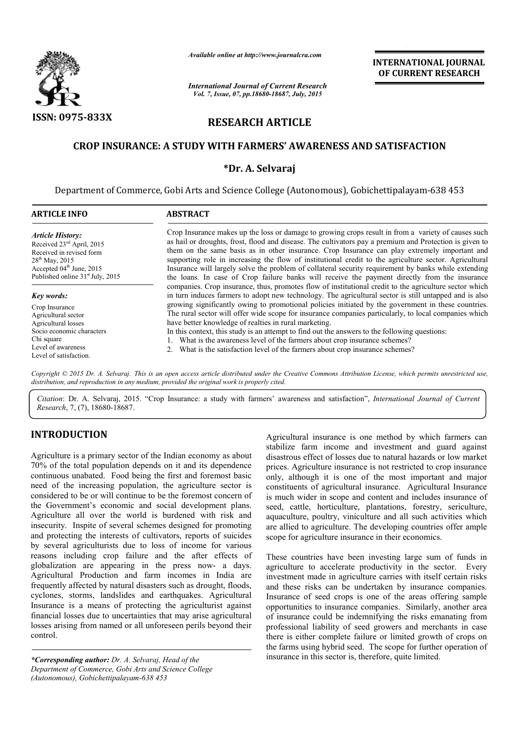

*Available online at http://www.journalcra.com*

*International Journal of Current Research Vol. 7, Issue, 07, pp.18680-18687, July, 2015*

INTERNATIONAL JOURNAL OF CURRENT RESEARCH

# RESEARCH ARTICLE

# CROP INSURANCE: A STUDY WITH FARMERS' AWARENESS AND SATISFACTION

# \*Dr. A. Selvaraj

Department of Commerce, Gobi Arts and Science College (Autonomous), Gobichettipalayam-638 453

| <b>ARTICLE INFO</b>                                                                                                                                                                                                                                                                                                                                                                  | <b>ABSTRACT</b>                                                                                                                                                                                                                                                                                                                                                                                                                                                                                                                                                                                                                                                                                                                                             |  |  |  |  |
|--------------------------------------------------------------------------------------------------------------------------------------------------------------------------------------------------------------------------------------------------------------------------------------------------------------------------------------------------------------------------------------|-------------------------------------------------------------------------------------------------------------------------------------------------------------------------------------------------------------------------------------------------------------------------------------------------------------------------------------------------------------------------------------------------------------------------------------------------------------------------------------------------------------------------------------------------------------------------------------------------------------------------------------------------------------------------------------------------------------------------------------------------------------|--|--|--|--|
| <b>Article History:</b><br>Received 23 <sup>ed</sup> April, 2015<br>Received in revised form<br>$28^{th}$ May, 2015<br>Accepted 04 <sup>th</sup> June, 2015<br>Published online 31 <sup>st</sup> July, 2015<br>Key words:<br>Crop Insurance<br>Agricultural sector<br>Agricultural losses<br>Socio economic characters<br>Chi square<br>Level of awareness<br>Level of satisfaction. | Crop Insurance makes up the loss or damage to growing crops result in from a variety of causes such<br>as hail or droughts, frost, flood and disease. The cultivators pay a premium and Protection is given to<br>them on the same basis as in other insurance. Crop Insurance can play extremely important and<br>supporting role in increasing the flow of institutional credit to the agriculture sector. Agricultural<br>Insurance will largely solve the problem of collateral security requirement by banks while extending<br>the loans. In case of Crop failure banks will receive the payment directly from the insurance                                                                                                                          |  |  |  |  |
|                                                                                                                                                                                                                                                                                                                                                                                      | companies. Crop insurance, thus, promotes flow of institutional credit to the agriculture sector which<br>in turn induces farmers to adopt new technology. The agricultural sector is still untapped and is also<br>growing significantly owing to promotional policies initiated by the government in these countries.<br>The rural sector will offer wide scope for insurance companies particularly, to local companies which<br>have better knowledge of realties in rural marketing.<br>In this context, this study is an attempt to find out the answers to the following questions:<br>1. What is the awareness level of the farmers about crop insurance schemes?<br>2. What is the satisfaction level of the farmers about crop insurance schemes? |  |  |  |  |

*Copyright © 2015 Dr. A. Selvaraj. This is an open access article distributed under the Creative Commons Attribution License, which permits unrestricted use, distribution, and reproduction in any medium, provided the original work is properly cited.*

*Citation*: Dr. A. Selvaraj, 2015. "Crop Insurance: a study with farmers' awareness and satisfaction", *International Journal of Current Research*, 7, (7), 18680-18687.

# INTRODUCTION

Agriculture is a primary sector of the Indian economy as about 70% of the total population depends on it and its dependence continuous unabated. Food being the first and foremost basic need of the increasing population, the agriculture sector is considered to be or will continue to be the foremost concern of the Government's economic and social development plans. Agriculture all over the world is burdened with risk and insecurity. Inspite of several schemes designed for promoting and protecting the interests of cultivators, reports of suicides by several agriculturists due to loss of income for various reasons including crop failure and the after effects of globalization are appearing in the press now- a days. Agricultural Production and farm incomes in India are frequently affected by natural disasters such as drought, floods, cyclones, storms, landslides and earthquakes. Agricultural Insurance is a means of protecting the agriculturist against financial losses due to uncertainties that may arise agricultural losses arising from named or all unforeseen perils beyond their control.

*\*Corresponding author: Dr. A. Selvaraj, Head of the Department of Commerce, Gobi Arts and Science College (Autonomous), Gobichettipalayam-638 453*

Agricultural insurance is one method by which farmers can stabilize farm income and investment and guard against disastrous effect of losses due to natural hazards or low market prices. Agriculture insurance is not restricted to crop insurance only, although it is one of the most important and major constituents of agricultural insurance. Agricultural Insurance is much wider in scope and content and includes insurance of seed, cattle, horticulture, plantations, forestry, sericulture, aquaculture, poultry, viniculture and all such activities which are allied to agriculture. The developing countries offer ample scope for agriculture insurance in their economics.

These countries have been investing large sum of funds in agriculture to accelerate productivity in the sector. Every investment made in agriculture carries with itself certain risks and these risks can be undertaken by insurance companies. Insurance of seed crops is one of the areas offering sample opportunities to insurance companies. Similarly, another area of insurance could be indemnifying the risks emanating from professional liability of seed growers and merchants in case there is either complete failure or limited growth of crops on the farms using hybrid seed. The scope for further operation of insurance in this sector is, therefore, quite limited.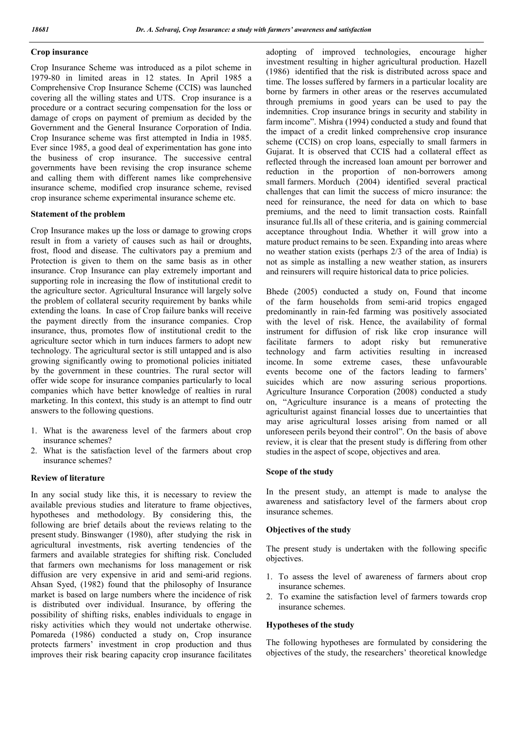# Crop insurance

Crop Insurance Scheme was introduced as a pilot scheme in 1979-80 in limited areas in 12 states. In April 1985 a Comprehensive Crop Insurance Scheme (CCIS) was launched covering all the willing states and UTS. Crop insurance is a procedure or a contract securing compensation for the loss or damage of crops on payment of premium as decided by the Government and the General Insurance Corporation of India. Crop Insurance scheme was first attempted in India in 1985. Ever since 1985, a good deal of experimentation has gone into the business of crop insurance. The successive central governments have been revising the crop insurance scheme and calling them with different names like comprehensive insurance scheme, modified crop insurance scheme, revised crop insurance scheme experimental insurance scheme etc.

# Statement of the problem

Crop Insurance makes up the loss or damage to growing crops result in from a variety of causes such as hail or droughts, frost, flood and disease. The cultivators pay a premium and Protection is given to them on the same basis as in other insurance. Crop Insurance can play extremely important and supporting role in increasing the flow of institutional credit to the agriculture sector. Agricultural Insurance will largely solve the problem of collateral security requirement by banks while extending the loans. In case of Crop failure banks will receive the payment directly from the insurance companies. Crop insurance, thus, promotes flow of institutional credit to the agriculture sector which in turn induces farmers to adopt new technology. The agricultural sector is still untapped and is also growing significantly owing to promotional policies initiated by the government in these countries. The rural sector will offer wide scope for insurance companies particularly to local companies which have better knowledge of realties in rural marketing. In this context, this study is an attempt to find outr answers to the following questions.

- 1. What is the awareness level of the farmers about crop insurance schemes?
- 2. What is the satisfaction level of the farmers about crop insurance schemes?

# Review of literature

In any social study like this, it is necessary to review the available previous studies and literature to frame objectives, hypotheses and methodology. By considering this, the following are brief details about the reviews relating to the present study. Binswanger (1980), after studying the risk in agricultural investments, risk averting tendencies of the farmers and available strategies for shifting risk. Concluded that farmers own mechanisms for loss management or risk diffusion are very expensive in arid and semi-arid regions. Ahsan Syed, (1982) found that the philosophy of Insurance market is based on large numbers where the incidence of risk is distributed over individual. Insurance, by offering the possibility of shifting risks, enables individuals to engage in risky activities which they would not undertake otherwise. Pomareda (1986) conducted a study on, Crop insurance protects farmers' investment in crop production and thus improves their risk bearing capacity crop insurance facilitates

adopting of improved technologies, encourage higher investment resulting in higher agricultural production. Hazell (1986) identified that the risk is distributed across space and time. The losses suffered by farmers in a particular locality are borne by farmers in other areas or the reserves accumulated through premiums in good years can be used to pay the indemnities. Crop insurance brings in security and stability in farm income". Mishra (1994) conducted a study and found that the impact of a credit linked comprehensive crop insurance scheme (CCIS) on crop loans, especially to small farmers in Gujarat. It is observed that CCIS had a collateral effect as reflected through the increased loan amount per borrower and reduction in the proportion of non-borrowers among small farmers. Morduch (2004) identified several practical challenges that can limit the success of micro insurance: the need for reinsurance, the need for data on which to base premiums, and the need to limit transaction costs. Rainfall insurance ful.lls all of these criteria, and is gaining commercial acceptance throughout India. Whether it will grow into a mature product remains to be seen. Expanding into areas where no weather station exists (perhaps 2/3 of the area of India) is not as simple as installing a new weather station, as insurers and reinsurers will require historical data to price policies.

Bhede (2005) conducted a study on, Found that income of the farm households from semi-arid tropics engaged predominantly in rain-fed farming was positively associated with the level of risk. Hence, the availability of formal instrument for diffusion of risk like crop insurance will facilitate farmers to adopt risky but remunerative technology and farm activities resulting in increased income. In some extreme cases, these unfavourable events become one of the factors leading to farmers' suicides which are now assuring serious proportions. Agriculture Insurance Corporation (2008) conducted a study on, "Agriculture insurance is a means of protecting the agriculturist against financial losses due to uncertainties that may arise agricultural losses arising from named or all unforeseen perils beyond their control". On the basis of above review, it is clear that the present study is differing from other studies in the aspect of scope, objectives and area.

# Scope of the study

In the present study, an attempt is made to analyse the awareness and satisfactory level of the farmers about crop insurance schemes.

# Objectives of the study

The present study is undertaken with the following specific objectives.

- 1. To assess the level of awareness of farmers about crop insurance schemes.
- 2. To examine the satisfaction level of farmers towards crop insurance schemes.

# Hypotheses of the study

The following hypotheses are formulated by considering the objectives of the study, the researchers' theoretical knowledge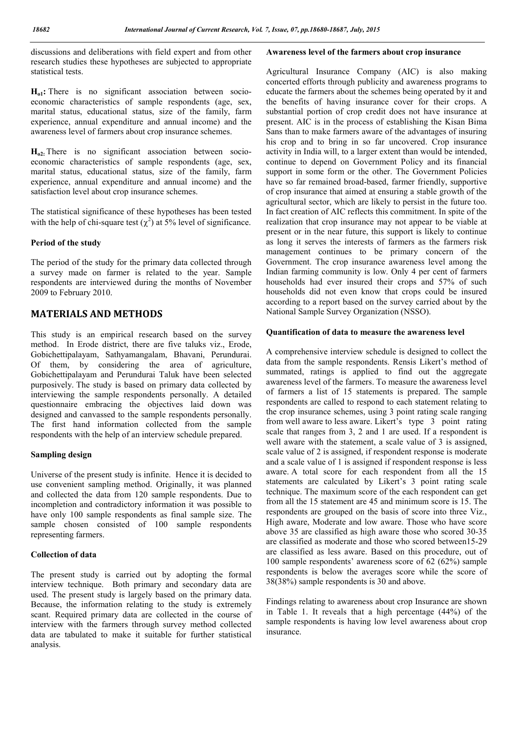discussions and deliberations with field expert and from other research studies these hypotheses are subjected to appropriate statistical tests.

 $H<sub>ol</sub>$ : There is no significant association between socioeconomic characteristics of sample respondents (age, sex, marital status, educational status, size of the family, farm experience, annual expenditure and annual income) and the awareness level of farmers about crop insurance schemes.

 $H<sub>0</sub>$ . There is no significant association between socioeconomic characteristics of sample respondents (age, sex, marital status, educational status, size of the family, farm experience, annual expenditure and annual income) and the satisfaction level about crop insurance schemes.

The statistical significance of these hypotheses has been tested with the help of chi-square test  $(\chi^2)$  at 5% level of significance.

# Period of the study

The period of the study for the primary data collected through a survey made on farmer is related to the year. Sample respondents are interviewed during the months of November 2009 to February 2010.

# MATERIALS AND METHODS

This study is an empirical research based on the survey method. In Erode district, there are five taluks viz., Erode, Gobichettipalayam, Sathyamangalam, Bhavani, Perundurai. Of them, by considering the area of agriculture, Gobichettipalayam and Perundurai Taluk have been selected purposively. The study is based on primary data collected by interviewing the sample respondents personally. A detailed questionnaire embracing the objectives laid down was designed and canvassed to the sample respondents personally. The first hand information collected from the sample respondents with the help of an interview schedule prepared.

# Sampling design

Universe of the present study is infinite. Hence it is decided to use convenient sampling method. Originally, it was planned and collected the data from 120 sample respondents. Due to incompletion and contradictory information it was possible to have only 100 sample respondents as final sample size. The sample chosen consisted of 100 sample respondents representing farmers.

# Collection of data

The present study is carried out by adopting the formal interview technique. Both primary and secondary data are used. The present study is largely based on the primary data. Because, the information relating to the study is extremely scant. Required primary data are collected in the course of interview with the farmers through survey method collected data are tabulated to make it suitable for further statistical analysis.

# Awareness level of the farmers about crop insurance

Agricultural Insurance Company (AIC) is also making concerted efforts through publicity and awareness programs to educate the farmers about the schemes being operated by it and the benefits of having insurance cover for their crops. A substantial portion of crop credit does not have insurance at present. AIC is in the process of establishing the Kisan Bima Sans than to make farmers aware of the advantages of insuring his crop and to bring in so far uncovered. Crop insurance activity in India will, to a larger extent than would be intended, continue to depend on Government Policy and its financial support in some form or the other. The Government Policies have so far remained broad-based, farmer friendly, supportive of crop insurance that aimed at ensuring a stable growth of the agricultural sector, which are likely to persist in the future too. In fact creation of AIC reflects this commitment. In spite of the realization that crop insurance may not appear to be viable at present or in the near future, this support is likely to continue as long it serves the interests of farmers as the farmers risk management continues to be primary concern of the Government. The crop insurance awareness level among the Indian farming community is low. Only 4 per cent of farmers households had ever insured their crops and 57% of such households did not even know that crops could be insured according to a report based on the survey carried about by the National Sample Survey Organization (NSSO).

# Quantification of data to measure the awareness level

A comprehensive interview schedule is designed to collect the data from the sample respondents. Rensis Likert's method of summated, ratings is applied to find out the aggregate awareness level of the farmers. To measure the awareness level of farmers a list of 15 statements is prepared. The sample respondents are called to respond to each statement relating to the crop insurance schemes, using 3 point rating scale ranging from well aware to less aware. Likert's type 3 point rating scale that ranges from 3, 2 and 1 are used. If a respondent is well aware with the statement, a scale value of 3 is assigned, scale value of 2 is assigned, if respondent response is moderate and a scale value of 1 is assigned if respondent response is less aware. A total score for each respondent from all the 15 statements are calculated by Likert's 3 point rating scale technique. The maximum score of the each respondent can get from all the 15 statement are 45 and minimum score is 15. The respondents are grouped on the basis of score into three Viz., High aware, Moderate and low aware. Those who have score above 35 are classified as high aware those who scored 30-35 are classified as moderate and those who scored between15-29 are classified as less aware. Based on this procedure, out of 100 sample respondents' awareness score of 62 (62%) sample respondents is below the averages score while the score of 38(38%) sample respondents is 30 and above.

Findings relating to awareness about crop Insurance are shown in Table 1. It reveals that a high percentage (44%) of the sample respondents is having low level awareness about crop insurance.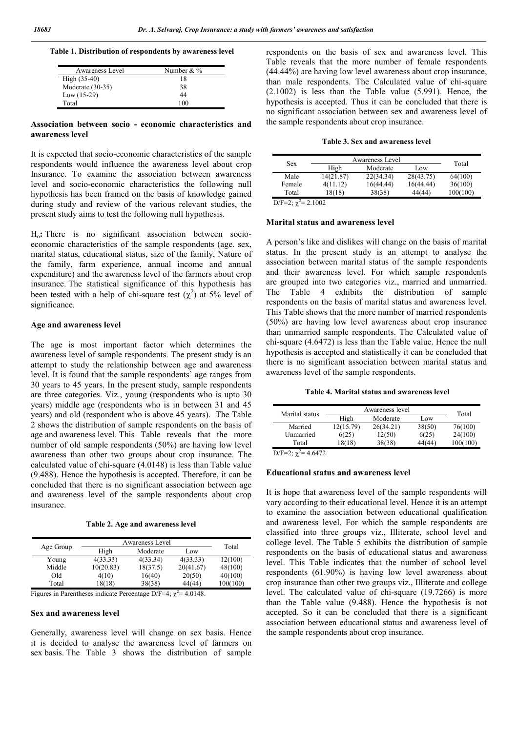| Awareness Level  | Number & % |
|------------------|------------|
| $High (35-40)$   | 18         |
| Moderate (30-35) | 38         |
| Low $(15-29)$    | 44         |
| Total            | 100        |

### Association between socio - economic characteristics and awareness level

It is expected that socio-economic characteristics of the sample respondents would influence the awareness level about crop Insurance. To examine the association between awareness level and socio-economic characteristics the following null hypothesis has been framed on the basis of knowledge gained during study and review of the various relevant studies, the present study aims to test the following null hypothesis.

Ho: There is no significant association between socioeconomic characteristics of the sample respondents (age. sex, marital status, educational status, size of the family, Nature of the family, farm experience, annual income and annual expenditure) and the awareness level of the farmers about crop insurance. The statistical significance of this hypothesis has been tested with a help of chi-square test  $(\chi^2)$  at 5% level of significance.

## Age and awareness level

The age is most important factor which determines the awareness level of sample respondents. The present study is an attempt to study the relationship between age and awareness level. It is found that the sample respondents' age ranges from 30 years to 45 years. In the present study, sample respondents are three categories. Viz., young (respondents who is upto 30 years) middle age (respondents who is in between 31 and 45 years) and old (respondent who is above 45 years). The Table 2 shows the distribution of sample respondents on the basis of age and awareness level. This Table reveals that the more number of old sample respondents (50%) are having low level awareness than other two groups about crop insurance. The calculated value of chi-square (4.0148) is less than Table value (9.488). Hence the hypothesis is accepted. Therefore, it can be concluded that there is no significant association between age and awareness level of the sample respondents about crop insurance.

|  |  |  |  | Table 2. Age and awareness level |  |
|--|--|--|--|----------------------------------|--|
|--|--|--|--|----------------------------------|--|

|           |           | Awareness Level |           | Total    |
|-----------|-----------|-----------------|-----------|----------|
| Age Group | High      | Moderate        | Low       |          |
| Young     | 4(33.33)  | 4(33.34)        | 4(33.33)  | 12(100)  |
| Middle    | 10(20.83) | 18(37.5)        | 20(41.67) | 48(100)  |
| Old       | 4(10)     | 16(40)          | 20(50)    | 40(100)  |
| Total     | 18(18)    | 38(38)          | 44(44)    | 100(100) |
|           |           |                 |           |          |

Figures in Parentheses indicate Percentage D/F=4;  $\chi^2$  = 4.0148.

# Sex and awareness level

Generally, awareness level will change on sex basis. Hence it is decided to analyse the awareness level of farmers on sex basis. The Table 3 shows the distribution of sample respondents on the basis of sex and awareness level. This Table reveals that the more number of female respondents (44.44%) are having low level awareness about crop insurance, than male respondents. The Calculated value of chi-square  $(2.1002)$  is less than the Table value  $(5.991)$ . Hence, the hypothesis is accepted. Thus it can be concluded that there is no significant association between sex and awareness level of the sample respondents about crop insurance.

|  |  |  | Table 3. Sex and awareness level |  |
|--|--|--|----------------------------------|--|
|--|--|--|----------------------------------|--|

|          |           | Awareness Level |           | <b>Sex</b>      |  |  |  |
|----------|-----------|-----------------|-----------|-----------------|--|--|--|
| Total    | Low       | Moderate        | High      |                 |  |  |  |
| 64(100)  | 28(43.75) | 22(34.34)       | 14(21.87) | Male            |  |  |  |
| 36(100)  | 16(44.44) | 16(44.44)       | 4(11.12)  | Female          |  |  |  |
| 100(100) | 44(44)    | 38(38)          | 18(18)    | Total           |  |  |  |
|          |           |                 |           | $D/E=22=2.1002$ |  |  |  |

 $D/F=2$ ;  $\chi^2=2.1002$ 

### Marital status and awareness level

A person's like and dislikes will change on the basis of marital status. In the present study is an attempt to analyse the association between marital status of the sample respondents and their awareness level. For which sample respondents are grouped into two categories viz., married and unmarried. The Table 4 exhibits the distribution of sample respondents on the basis of marital status and awareness level. This Table shows that the more number of married respondents (50%) are having low level awareness about crop insurance than unmarried sample respondents. The Calculated value of chi-square (4.6472) is less than the Table value. Hence the null hypothesis is accepted and statistically it can be concluded that there is no significant association between marital status and awareness level of the sample respondents.

### Table 4. Marital status and awareness level

| Marital status           | Awareness level | Total     |        |          |
|--------------------------|-----------------|-----------|--------|----------|
|                          | High            | Moderate  | Low    |          |
| Married                  | 12(15.79)       | 26(34.21) | 38(50) | 76(100)  |
| Unmarried                | 6(25)           | 12(50)    | 6(25)  | 24(100)  |
| Total                    | 18(18)          | 38(38)    | 44(44) | 100(100) |
| D/F=2; $\chi^2$ = 4.6472 |                 |           |        |          |

Educational status and awareness level

It is hope that awareness level of the sample respondents will vary according to their educational level. Hence it is an attempt to examine the association between educational qualification and awareness level. For which the sample respondents are classified into three groups viz., Illiterate, school level and college level. The Table 5 exhibits the distribution of sample respondents on the basis of educational status and awareness level. This Table indicates that the number of school level respondents (61.90%) is having low level awareness about crop insurance than other two groups viz., Illiterate and college level. The calculated value of chi-square (19.7266) is more than the Table value (9.488). Hence the hypothesis is not accepted. So it can be concluded that there is a significant association between educational status and awareness level of the sample respondents about crop insurance.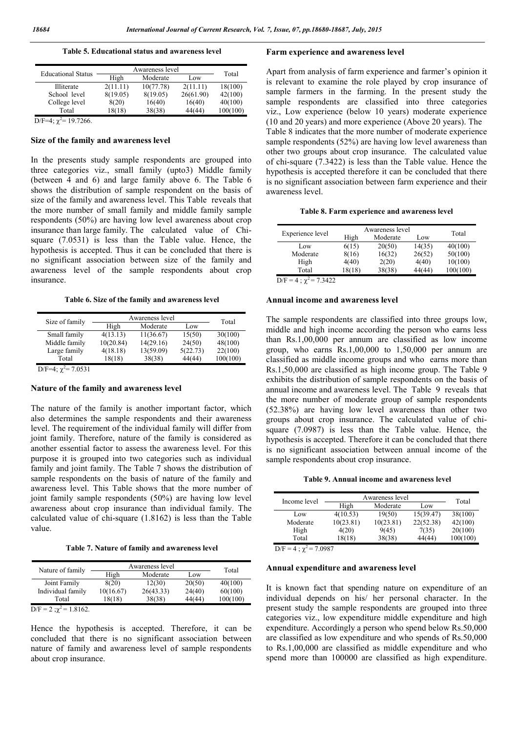Table 5. Educational status and awareness level

| <b>Educational Status</b>  | Awareness level | Total     |           |          |
|----------------------------|-----------------|-----------|-----------|----------|
|                            | High            | Moderate  | Low       |          |
| Illiterate                 | 2(11.11)        | 10(77.78) | 2(11.11)  | 18(100)  |
| School level               | 8(19.05)        | 8(19.05)  | 26(61.90) | 42(100)  |
| College level              | 8(20)           | 16(40)    | 16(40)    | 40(100)  |
| Total                      | 18(18)          | 38(38)    | 44(44)    | 100(100) |
| D/F=4; $\chi^2$ = 19.7266. |                 |           |           |          |

# Size of the family and awareness level

In the presents study sample respondents are grouped into three categories viz., small family (upto3) Middle family (between 4 and 6) and large family above 6. The Table 6 shows the distribution of sample respondent on the basis of size of the family and awareness level. This Table reveals that the more number of small family and middle family sample respondents (50%) are having low level awareness about crop insurance than large family. The calculated value of Chisquare (7.0531) is less than the Table value. Hence, the hypothesis is accepted. Thus it can be concluded that there is no significant association between size of the family and awareness level of the sample respondents about crop insurance.

Table 6. Size of the family and awareness level

| Size of family           | Awareness level | Total     |          |          |
|--------------------------|-----------------|-----------|----------|----------|
|                          | High            | Moderate  | Low      |          |
| Small family             | 4(13.13)        | 11(36.67) | 15(50)   | 30(100)  |
| Middle family            | 10(20.84)       | 14(29.16) | 24(50)   | 48(100)  |
| Large family             | 4(18.18)        | 13(59.09) | 5(22.73) | 22(100)  |
| Total                    | 18(18)          | 38(38)    | 44(44)   | 100(100) |
| D/F=4; $\chi^2$ = 7.0531 |                 |           |          |          |

Nature of the family and awareness level

The nature of the family is another important factor, which also determines the sample respondents and their awareness level. The requirement of the individual family will differ from joint family. Therefore, nature of the family is considered as another essential factor to assess the awareness level. For this purpose it is grouped into two categories such as individual family and joint family. The Table 7 shows the distribution of sample respondents on the basis of nature of the family and awareness level. This Table shows that the more number of joint family sample respondents (50%) are having low level awareness about crop insurance than individual family. The calculated value of chi-square (1.8162) is less than the Table value.

Table 7. Nature of family and awareness level

|                                 | Awareness level |           |        |          |
|---------------------------------|-----------------|-----------|--------|----------|
| Nature of family                | High            | Moderate  | Low    | Total    |
| Joint Family                    | 8(20)           | 12(30)    | 20(50) | 40(100)  |
| Individual family               | 10(16.67)       | 26(43.33) | 24(40) | 60(100)  |
| Total                           | 18(18)          | 38(38)    | 44(44) | 100(100) |
| $D/F = 2$ ; $\chi^2 = 1.8162$ . |                 |           |        |          |

Hence the hypothesis is accepted. Therefore, it can be concluded that there is no significant association between nature of family and awareness level of sample respondents about crop insurance.

### Farm experience and awareness level

Apart from analysis of farm experience and farmer's opinion it is relevant to examine the role played by crop insurance of sample farmers in the farming. In the present study the sample respondents are classified into three categories viz., Low experience (below 10 years) moderate experience (10 and 20 years) and more experience (Above 20 years). The Table 8 indicates that the more number of moderate experience sample respondents (52%) are having low level awareness than other two groups about crop insurance. The calculated value of chi-square (7.3422) is less than the Table value. Hence the hypothesis is accepted therefore it can be concluded that there is no significant association between farm experience and their awareness level.

|  |  |  |  | Table 8. Farm experience and awareness level |  |
|--|--|--|--|----------------------------------------------|--|
|--|--|--|--|----------------------------------------------|--|

| Awareness level | Total    |        |          |
|-----------------|----------|--------|----------|
| High            | Moderate | Low    |          |
| 6(15)           | 20(50)   | 14(35) | 40(100)  |
| 8(16)           | 16(32)   | 26(52) | 50(100)  |
| 4(40)           | 2(20)    | 4(40)  | 10(100)  |
| 18(18)          | 38(38)   | 44(44) | 100(100) |
|                 |          |        |          |

 $D/F = 4$ ;  $\chi^2 = 7.3422$ 

### Annual income and awareness level

The sample respondents are classified into three groups low, middle and high income according the person who earns less than Rs.1,00,000 per annum are classified as low income group, who earns Rs.1,00,000 to 1,50,000 per annum are classified as middle income groups and who earns more than Rs.1,50,000 are classified as high income group. The Table 9 exhibits the distribution of sample respondents on the basis of annual income and awareness level. The Table 9 reveals that the more number of moderate group of sample respondents (52.38%) are having low level awareness than other two groups about crop insurance. The calculated value of chisquare (7.0987) is less than the Table value. Hence, the hypothesis is accepted. Therefore it can be concluded that there is no significant association between annual income of the sample respondents about crop insurance.

Table 9. Annual income and awareness level

| Income level                                   | Awareness level |           |           |          |
|------------------------------------------------|-----------------|-----------|-----------|----------|
|                                                | High            | Moderate  | Low       | Total    |
| Low                                            | 4(10.53)        | 19(50)    | 15(39.47) | 38(100)  |
| Moderate                                       | 10(23.81)       | 10(23.81) | 22(52.38) | 42(100)  |
| High                                           | 4(20)           | 9(45)     | 7(35)     | 20(100)  |
| Total                                          | 18(18)          | 38(38)    | 44(44)    | 100(100) |
| າ<br>$\mathbf{r}$<br>$\overline{ }$<br>$ 0.00$ |                 |           |           |          |

 $D/F = 4$ ;  $\chi^2 = 7.0987$ 

### Annual expenditure and awareness level

It is known fact that spending nature on expenditure of an individual depends on his/ her personal character. In the present study the sample respondents are grouped into three categories viz., low expenditure middle expenditure and high expenditure. Accordingly a person who spend below Rs.50,000 are classified as low expenditure and who spends of Rs.50,000 to Rs.1,00,000 are classified as middle expenditure and who spend more than 100000 are classified as high expenditure.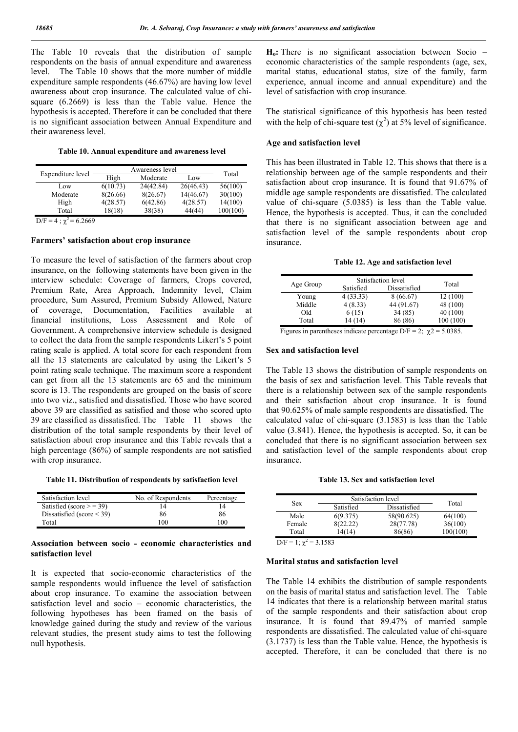The Table 10 reveals that the distribution of sample respondents on the basis of annual expenditure and awareness level. The Table 10 shows that the more number of middle expenditure sample respondents (46.67%) are having low level awareness about crop insurance. The calculated value of chisquare (6.2669) is less than the Table value. Hence the hypothesis is accepted. Therefore it can be concluded that there is no significant association between Annual Expenditure and their awareness level.

Table 10. Annual expenditure and awareness level

| Expenditure level                       | Awareness level | Total     |           |          |
|-----------------------------------------|-----------------|-----------|-----------|----------|
|                                         | High            | Moderate  | Low       |          |
| Low                                     | 6(10.73)        | 24(42.84) | 26(46.43) | 56(100)  |
| Moderate                                | 8(26.66)        | 8(26.67)  | 14(46.67) | 30(100)  |
| High                                    | 4(28.57)        | 6(42.86)  | 4(28.57)  | 14(100)  |
| Total                                   | 18(18)          | 38(38)    | 44(44)    | 100(100) |
| $\sim$ $\sim$<br>$\sim$ 0.40<br>$\cdot$ |                 |           |           |          |

 $D/F = 4$ ;  $\chi^2 = 6.2669$ 

### Farmers' satisfaction about crop insurance

To measure the level of satisfaction of the farmers about crop insurance, on the following statements have been given in the interview schedule: Coverage of farmers, Crops covered, Premium Rate, Area Approach, Indemnity level, Claim procedure, Sum Assured, Premium Subsidy Allowed, Nature of coverage, Documentation, Facilities available at financial institutions, Loss Assessment and Role of Government. A comprehensive interview schedule is designed to collect the data from the sample respondents Likert's 5 point rating scale is applied. A total score for each respondent from all the 13 statements are calculated by using the Likert's 5 point rating scale technique. The maximum score a respondent can get from all the 13 statements are 65 and the minimum score is 13. The respondents are grouped on the basis of score into two viz., satisfied and dissatisfied. Those who have scored above 39 are classified as satisfied and those who scored upto 39 are classified as dissatisfied. The Table 11 shows the distribution of the total sample respondents by their level of satisfaction about crop insurance and this Table reveals that a high percentage (86%) of sample respondents are not satisfied with crop insurance.

Table 11. Distribution of respondents by satisfaction level

| Satisfaction level            | No. of Respondents | Percentage |
|-------------------------------|--------------------|------------|
| Satisfied (score $> = 39$ )   |                    |            |
| Dissatisfied (score $\le$ 39) | 86                 | 86         |
| Total                         | 100                | 100        |

## Association between socio - economic characteristics and satisfaction level

It is expected that socio-economic characteristics of the sample respondents would influence the level of satisfaction about crop insurance. To examine the association between satisfaction level and socio – economic characteristics, the following hypotheses has been framed on the basis of knowledge gained during the study and review of the various relevant studies, the present study aims to test the following null hypothesis.

 $H<sub>o</sub>$ : There is no significant association between Socio – economic characteristics of the sample respondents (age, sex, marital status, educational status, size of the family, farm experience, annual income and annual expenditure) and the level of satisfaction with crop insurance.

The statistical significance of this hypothesis has been tested with the help of chi-square test  $(\chi^2)$  at 5% level of significance.

## Age and satisfaction level

This has been illustrated in Table 12. This shows that there is a relationship between age of the sample respondents and their satisfaction about crop insurance. It is found that 91.67% of middle age sample respondents are dissatisfied. The calculated value of chi-square (5.0385) is less than the Table value. Hence, the hypothesis is accepted. Thus, it can the concluded that there is no significant association between age and satisfaction level of the sample respondents about crop insurance.

|  |  |  |  | Table 12. Age and satisfaction level |  |
|--|--|--|--|--------------------------------------|--|
|--|--|--|--|--------------------------------------|--|

|           |                                                                                  | Satisfaction level |           |  |  |  |
|-----------|----------------------------------------------------------------------------------|--------------------|-----------|--|--|--|
| Age Group | Satisfied                                                                        | Dissatisfied       | Total     |  |  |  |
| Young     | 4(33.33)                                                                         | 8(66.67)           | 12(100)   |  |  |  |
| Middle    | 4(8.33)                                                                          | 44 (91.67)         | 48 (100)  |  |  |  |
| Old       | 6(15)                                                                            | 34 (85)            | 40(100)   |  |  |  |
| Total     | 14 (14)                                                                          | 86 (86)            | 100 (100) |  |  |  |
|           | $\Gamma$ igures in norontheses indicate norontage $D/E = 2 \cdot \mu 2 = 5.0295$ |                    |           |  |  |  |

Figures in parentheses indicate percentage D/F = 2;  $\chi$ 2 = 5.0385.

### Sex and satisfaction level

The Table 13 shows the distribution of sample respondents on the basis of sex and satisfaction level. This Table reveals that there is a relationship between sex of the sample respondents and their satisfaction about crop insurance. It is found that 90.625% of male sample respondents are dissatisfied. The calculated value of chi-square (3.1583) is less than the Table value (3.841). Hence, the hypothesis is accepted. So, it can be concluded that there is no significant association between sex and satisfaction level of the sample respondents about crop insurance.

Table 13. Sex and satisfaction level

| Dissatisfied<br>Satisfied<br>58(90.625)<br>Male<br>6(9.375)<br>64(100)<br>28(77.78)<br>36(100)<br>8(22.22)<br>Female<br>86(86)<br>Total<br>14(14) | <b>Sex</b> | Total |          |
|---------------------------------------------------------------------------------------------------------------------------------------------------|------------|-------|----------|
|                                                                                                                                                   |            |       |          |
|                                                                                                                                                   |            |       |          |
|                                                                                                                                                   |            |       |          |
|                                                                                                                                                   |            |       | 100(100) |

 $D/F = 1$ ;  $\chi^2 = 3.1583$ 

## Marital status and satisfaction level

The Table 14 exhibits the distribution of sample respondents on the basis of marital status and satisfaction level. The Table 14 indicates that there is a relationship between marital status of the sample respondents and their satisfaction about crop insurance. It is found that 89.47% of married sample respondents are dissatisfied. The calculated value of chi-square (3.1737) is less than the Table value. Hence, the hypothesis is accepted. Therefore, it can be concluded that there is no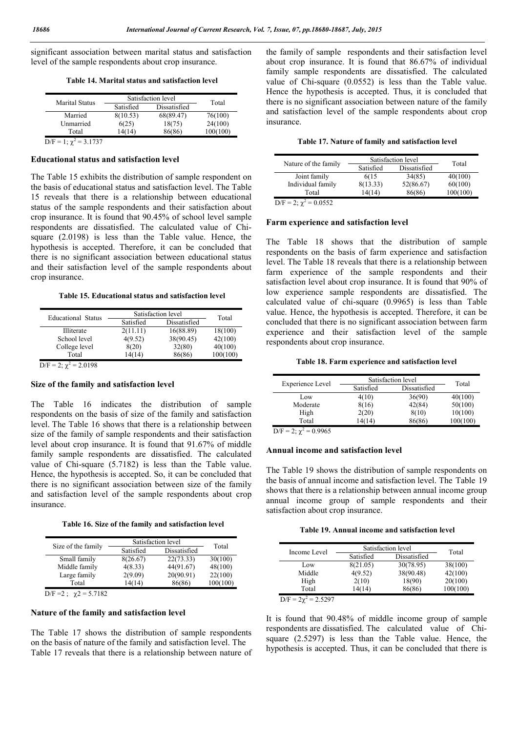significant association between marital status and satisfaction level of the sample respondents about crop insurance.

Table 14. Marital status and satisfaction level

| <b>Marital Status</b> | Satisfaction level | Total        |          |
|-----------------------|--------------------|--------------|----------|
|                       | Satisfied          | Dissatisfied |          |
| Married               | 8(10.53)           | 68(89.47)    | 76(100)  |
| Unmarried             | 6(25)              | 18(75)       | 24(100)  |
| Total                 | 14(14)             | 86(86)       | 100(100) |
| <b>D.T.</b><br>2.1727 |                    |              |          |

 $D/F = 1$ ;  $\chi^2 = 3.1737$ 

### Educational status and satisfaction level

The Table 15 exhibits the distribution of sample respondent on the basis of educational status and satisfaction level. The Table 15 reveals that there is a relationship between educational status of the sample respondents and their satisfaction about crop insurance. It is found that 90.45% of school level sample respondents are dissatisfied. The calculated value of Chisquare (2.0198) is less than the Table value. Hence, the hypothesis is accepted. Therefore, it can be concluded that there is no significant association between educational status and their satisfaction level of the sample respondents about crop insurance.

Table 15. Educational status and satisfaction level

| <b>Educational Status</b>        | Satisfaction level | Total        |          |
|----------------------------------|--------------------|--------------|----------|
|                                  | Satisfied          | Dissatisfied |          |
| Illiterate                       | 2(11.11)           | 16(88.89)    | 18(100)  |
| School level                     | 4(9.52)            | 38(90.45)    | 42(100)  |
| College level                    | 8(20)              | 32(80)       | 40(100)  |
| Total                            | 14(14)             | 86(86)       | 100(100) |
| $\mathbf{D}$<br>$\sim$<br>0.0100 |                    |              |          |

 $D/F = 2$ ;  $\chi^2 = 2.0198$ 

# Size of the family and satisfaction level

The Table 16 indicates the distribution of sample respondents on the basis of size of the family and satisfaction level. The Table 16 shows that there is a relationship between size of the family of sample respondents and their satisfaction level about crop insurance. It is found that 91.67% of middle family sample respondents are dissatisfied. The calculated value of Chi-square (5.7182) is less than the Table value. Hence, the hypothesis is accepted. So, it can be concluded that there is no significant association between size of the family and satisfaction level of the sample respondents about crop insurance.

|  |  |  | Table 16. Size of the family and satisfaction level |  |
|--|--|--|-----------------------------------------------------|--|
|  |  |  |                                                     |  |

|                          | Satisfaction level |              |          |
|--------------------------|--------------------|--------------|----------|
| Size of the family       | Satisfied          | Dissatisfied | Total    |
| Small family             | 8(26.67)           | 22(73.33)    | 30(100)  |
| Middle family            | 4(8.33)            | 44(91.67)    | 48(100)  |
| Large family             | 2(9.09)            | 20(90.91)    | 22(100)  |
| Total                    | 14(14)             | 86(86)       | 100(100) |
| $D/T$ $A$ $A$ $F$ $7100$ |                    |              |          |

D/F = 2;  $\chi$  2 = 5.7182

# Nature of the family and satisfaction level

The Table 17 shows the distribution of sample respondents on the basis of nature of the family and satisfaction level. The Table 17 reveals that there is a relationship between nature of the family of sample respondents and their satisfaction level about crop insurance. It is found that 86.67% of individual family sample respondents are dissatisfied. The calculated value of Chi-square (0.0552) is less than the Table value. Hence the hypothesis is accepted. Thus, it is concluded that there is no significant association between nature of the family and satisfaction level of the sample respondents about crop insurance.

|  |  | Table 17. Nature of family and satisfaction level |  |
|--|--|---------------------------------------------------|--|
|  |  |                                                   |  |

| Nature of the family          | Satisfaction level | Total        |          |
|-------------------------------|--------------------|--------------|----------|
|                               | Satisfied          | Dissatisfied |          |
| Joint family                  | 6(15               | 34(85)       | 40(100)  |
| Individual family             | 8(13.33)           | 52(86.67)    | 60(100)  |
| Total                         | 14(14)             | 86(86)       | 100(100) |
| $D/F = 2$ ; $\chi^2 = 0.0552$ |                    |              |          |

### Farm experience and satisfaction level

The Table 18 shows that the distribution of sample respondents on the basis of farm experience and satisfaction level. The Table 18 reveals that there is a relationship between farm experience of the sample respondents and their satisfaction level about crop insurance. It is found that 90% of low experience sample respondents are dissatisfied. The calculated value of chi-square (0.9965) is less than Table value. Hence, the hypothesis is accepted. Therefore, it can be concluded that there is no significant association between farm experience and their satisfaction level of the sample respondents about crop insurance.

### Table 18. Farm experience and satisfaction level

| Satisfaction level |              | Total    |
|--------------------|--------------|----------|
| Satisfied          | Dissatisfied |          |
| 4(10)              | 36(90)       | 40(100)  |
| 8(16)              | 42(84)       | 50(100)  |
| 2(20)              | 8(10)        | 10(100)  |
| 14(14)             | 86(86)       | 100(100) |
|                    |              |          |

 $D/F = 2$ ;  $\chi^2 = 0.9965$ 

### Annual income and satisfaction level

The Table 19 shows the distribution of sample respondents on the basis of annual income and satisfaction level. The Table 19 shows that there is a relationship between annual income group annual income group of sample respondents and their satisfaction about crop insurance.

Table 19. Annual income and satisfaction level

| Income Level             | Satisfaction level |              | Total    |
|--------------------------|--------------------|--------------|----------|
|                          | Satisfied          | Dissatisfied |          |
| Low                      | 8(21.05)           | 30(78.95)    | 38(100)  |
| Middle                   | 4(9.52)            | 38(90.48)    | 42(100)  |
| High                     | 2(10)              | 18(90)       | 20(100)  |
| Total                    | 14(14)             | 86(86)       | 100(100) |
| $D/F = 2\chi^2 = 2.5297$ |                    |              |          |

It is found that 90.48% of middle income group of sample respondents are dissatisfied. The calculated value of Chisquare (2.5297) is less than the Table value. Hence, the hypothesis is accepted. Thus, it can be concluded that there is